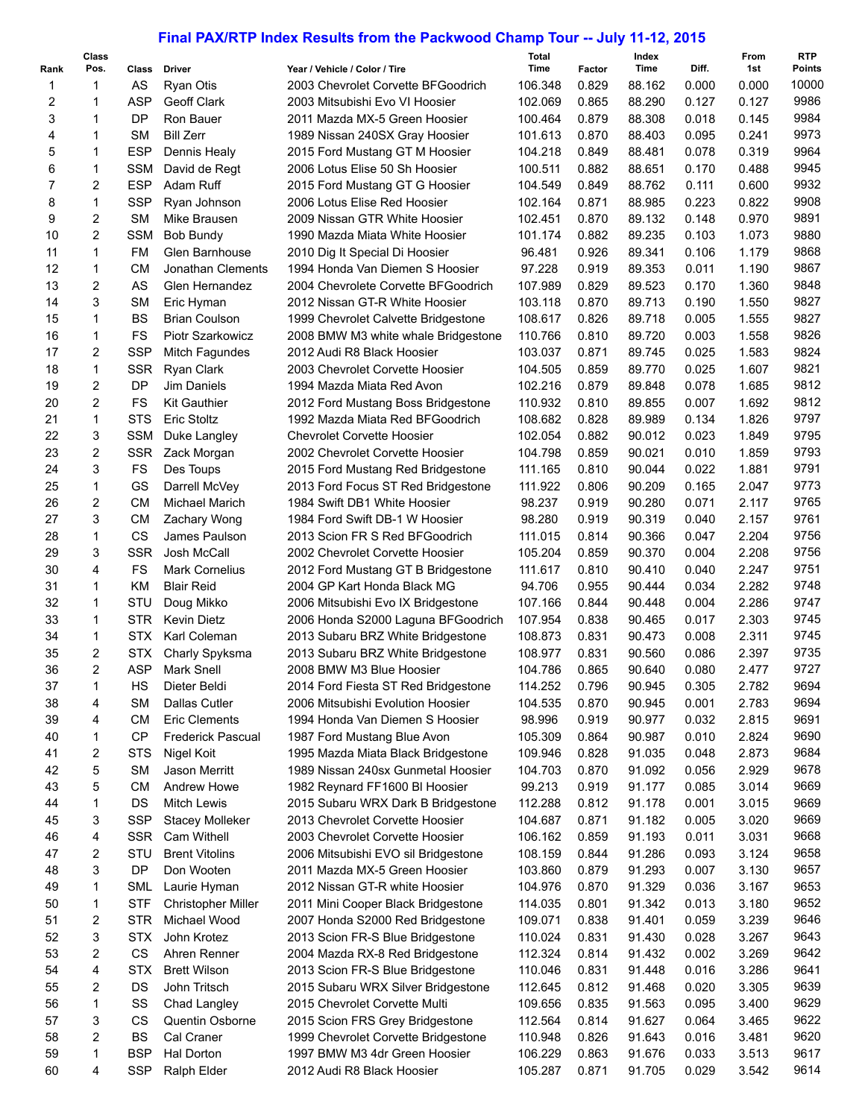## **Final PAX/RTP Index Results from the Packwood Champ Tour -- July 11-12, 2015**

| Rank | Class<br>Pos. | Class      | Driver                    | Year / Vehicle / Color / Tire       | Total<br>Time | Factor | Index<br>Time | Diff. | From<br>1st | <b>RTP</b><br>Points |
|------|---------------|------------|---------------------------|-------------------------------------|---------------|--------|---------------|-------|-------------|----------------------|
| 1    | $\mathbf{1}$  | AS         | <b>Ryan Otis</b>          | 2003 Chevrolet Corvette BFGoodrich  | 106.348       | 0.829  | 88.162        | 0.000 | 0.000       | 10000                |
| 2    | 1             | <b>ASP</b> | Geoff Clark               | 2003 Mitsubishi Evo VI Hoosier      | 102.069       | 0.865  | 88.290        | 0.127 | 0.127       | 9986                 |
| 3    | 1             | DP         | Ron Bauer                 | 2011 Mazda MX-5 Green Hoosier       | 100.464       | 0.879  | 88.308        | 0.018 | 0.145       | 9984                 |
|      | 1             | <b>SM</b>  | <b>Bill Zerr</b>          |                                     | 101.613       |        | 88.403        | 0.095 | 0.241       | 9973                 |
| 4    |               |            |                           | 1989 Nissan 240SX Gray Hoosier      |               | 0.870  |               |       |             |                      |
| 5    | $\mathbf{1}$  | <b>ESP</b> | Dennis Healy              | 2015 Ford Mustang GT M Hoosier      | 104.218       | 0.849  | 88.481        | 0.078 | 0.319       | 9964                 |
| 6    | 1             | <b>SSM</b> | David de Regt             | 2006 Lotus Elise 50 Sh Hoosier      | 100.511       | 0.882  | 88.651        | 0.170 | 0.488       | 9945                 |
| 7    | 2             | <b>ESP</b> | Adam Ruff                 | 2015 Ford Mustang GT G Hoosier      | 104.549       | 0.849  | 88.762        | 0.111 | 0.600       | 9932                 |
| 8    | 1             | <b>SSP</b> | Ryan Johnson              | 2006 Lotus Elise Red Hoosier        | 102.164       | 0.871  | 88.985        | 0.223 | 0.822       | 9908                 |
| 9    | 2             | <b>SM</b>  | Mike Brausen              | 2009 Nissan GTR White Hoosier       | 102.451       | 0.870  | 89.132        | 0.148 | 0.970       | 9891                 |
| 10   | 2             | <b>SSM</b> | <b>Bob Bundy</b>          | 1990 Mazda Miata White Hoosier      | 101.174       | 0.882  | 89.235        | 0.103 | 1.073       | 9880                 |
| 11   | 1             | FM         | Glen Barnhouse            | 2010 Dig It Special Di Hoosier      | 96.481        | 0.926  | 89.341        | 0.106 | 1.179       | 9868                 |
| 12   | 1             | <b>CM</b>  | Jonathan Clements         | 1994 Honda Van Diemen S Hoosier     | 97.228        | 0.919  | 89.353        | 0.011 | 1.190       | 9867                 |
| 13   | 2             | AS         | Glen Hernandez            | 2004 Chevrolete Corvette BFGoodrich | 107.989       | 0.829  | 89.523        | 0.170 | 1.360       | 9848                 |
| 14   | 3             | <b>SM</b>  | Eric Hyman                | 2012 Nissan GT-R White Hoosier      | 103.118       | 0.870  | 89.713        | 0.190 | 1.550       | 9827                 |
| 15   | 1             | <b>BS</b>  | <b>Brian Coulson</b>      | 1999 Chevrolet Calvette Bridgestone | 108.617       | 0.826  | 89.718        | 0.005 | 1.555       | 9827                 |
| 16   | 1             | FS         | Piotr Szarkowicz          | 2008 BMW M3 white whale Bridgestone | 110.766       | 0.810  | 89.720        | 0.003 | 1.558       | 9826                 |
| 17   | 2             | <b>SSP</b> | Mitch Fagundes            | 2012 Audi R8 Black Hoosier          | 103.037       | 0.871  | 89.745        | 0.025 | 1.583       | 9824                 |
| 18   | 1             | <b>SSR</b> | Ryan Clark                | 2003 Chevrolet Corvette Hoosier     | 104.505       | 0.859  | 89.770        | 0.025 | 1.607       | 9821                 |
| 19   | 2             | DP         | Jim Daniels               | 1994 Mazda Miata Red Avon           | 102.216       | 0.879  | 89.848        | 0.078 | 1.685       | 9812                 |
| 20   | 2             | FS         | <b>Kit Gauthier</b>       | 2012 Ford Mustang Boss Bridgestone  | 110.932       | 0.810  | 89.855        | 0.007 | 1.692       | 9812                 |
| 21   | $\mathbf{1}$  | <b>STS</b> | Eric Stoltz               | 1992 Mazda Miata Red BFGoodrich     | 108.682       | 0.828  | 89.989        | 0.134 | 1.826       | 9797                 |
| 22   | 3             | <b>SSM</b> | Duke Langley              | <b>Chevrolet Corvette Hoosier</b>   | 102.054       | 0.882  | 90.012        | 0.023 | 1.849       | 9795                 |
| 23   | 2             | <b>SSR</b> | Zack Morgan               | 2002 Chevrolet Corvette Hoosier     | 104.798       | 0.859  | 90.021        | 0.010 | 1.859       | 9793                 |
| 24   | 3             | FS         | Des Toups                 | 2015 Ford Mustang Red Bridgestone   | 111.165       | 0.810  | 90.044        | 0.022 | 1.881       | 9791                 |
| 25   | 1             | GS         | Darrell McVey             | 2013 Ford Focus ST Red Bridgestone  | 111.922       | 0.806  | 90.209        | 0.165 | 2.047       | 9773                 |
| 26   | 2             | <b>CM</b>  | Michael Marich            | 1984 Swift DB1 White Hoosier        | 98.237        | 0.919  | 90.280        | 0.071 | 2.117       | 9765                 |
| 27   | 3             | <b>CM</b>  |                           |                                     |               |        |               |       |             | 9761                 |
|      |               |            | Zachary Wong              | 1984 Ford Swift DB-1 W Hoosier      | 98.280        | 0.919  | 90.319        | 0.040 | 2.157       |                      |
| 28   | 1             | CS         | James Paulson             | 2013 Scion FR S Red BFGoodrich      | 111.015       | 0.814  | 90.366        | 0.047 | 2.204       | 9756                 |
| 29   | 3             | <b>SSR</b> | Josh McCall               | 2002 Chevrolet Corvette Hoosier     | 105.204       | 0.859  | 90.370        | 0.004 | 2.208       | 9756                 |
| 30   | 4             | FS         | <b>Mark Cornelius</b>     | 2012 Ford Mustang GT B Bridgestone  | 111.617       | 0.810  | 90.410        | 0.040 | 2.247       | 9751                 |
| 31   | 1             | KM         | <b>Blair Reid</b>         | 2004 GP Kart Honda Black MG         | 94.706        | 0.955  | 90.444        | 0.034 | 2.282       | 9748                 |
| 32   | 1             | STU        | Doug Mikko                | 2006 Mitsubishi Evo IX Bridgestone  | 107.166       | 0.844  | 90.448        | 0.004 | 2.286       | 9747                 |
| 33   | $\mathbf{1}$  | STR.       | <b>Kevin Dietz</b>        | 2006 Honda S2000 Laguna BFGoodrich  | 107.954       | 0.838  | 90.465        | 0.017 | 2.303       | 9745                 |
| 34   | $\mathbf{1}$  | <b>STX</b> | Karl Coleman              | 2013 Subaru BRZ White Bridgestone   | 108.873       | 0.831  | 90.473        | 0.008 | 2.311       | 9745                 |
| 35   | 2             | <b>STX</b> | Charly Spyksma            | 2013 Subaru BRZ White Bridgestone   | 108.977       | 0.831  | 90.560        | 0.086 | 2.397       | 9735                 |
| 36   | 2             | <b>ASP</b> | Mark Snell                | 2008 BMW M3 Blue Hoosier            | 104.786       | 0.865  | 90.640        | 0.080 | 2.477       | 9727                 |
| 37   | 1             | HS         | Dieter Beldi              | 2014 Ford Fiesta ST Red Bridgestone | 114.252       | 0.796  | 90.945        | 0.305 | 2.782       | 9694                 |
| 38   | 4             | SМ         | Dallas Cutler             | 2006 Mitsubishi Evolution Hoosier   | 104.535       | 0.870  | 90.945        | 0.001 | 2.783       | 9694                 |
| 39   | 4             | CМ         | <b>Eric Clements</b>      | 1994 Honda Van Diemen S Hoosier     | 98.996        | 0.919  | 90.977        | 0.032 | 2.815       | 9691                 |
| 40   | 1             | <b>CP</b>  | <b>Frederick Pascual</b>  | 1987 Ford Mustang Blue Avon         | 105.309       | 0.864  | 90.987        | 0.010 | 2.824       | 9690                 |
| 41   | 2             | <b>STS</b> | Nigel Koit                | 1995 Mazda Miata Black Bridgestone  | 109.946       | 0.828  | 91.035        | 0.048 | 2.873       | 9684                 |
| 42   | 5             | <b>SM</b>  | Jason Merritt             | 1989 Nissan 240sx Gunmetal Hoosier  | 104.703       | 0.870  | 91.092        | 0.056 | 2.929       | 9678                 |
| 43   | 5             | СM         | <b>Andrew Howe</b>        | 1982 Reynard FF1600 BI Hoosier      | 99.213        | 0.919  | 91.177        | 0.085 | 3.014       | 9669                 |
| 44   | 1             | DS         | <b>Mitch Lewis</b>        | 2015 Subaru WRX Dark B Bridgestone  | 112.288       | 0.812  | 91.178        | 0.001 | 3.015       | 9669                 |
| 45   | 3             | <b>SSP</b> | <b>Stacey Molleker</b>    | 2013 Chevrolet Corvette Hoosier     | 104.687       | 0.871  | 91.182        | 0.005 | 3.020       | 9669                 |
| 46   | 4             | <b>SSR</b> | Cam Withell               | 2003 Chevrolet Corvette Hoosier     | 106.162       | 0.859  | 91.193        | 0.011 | 3.031       | 9668                 |
| 47   | 2             | STU        | <b>Brent Vitolins</b>     | 2006 Mitsubishi EVO sil Bridgestone | 108.159       | 0.844  | 91.286        | 0.093 | 3.124       | 9658                 |
| 48   | 3             | DP         | Don Wooten                | 2011 Mazda MX-5 Green Hoosier       | 103.860       | 0.879  | 91.293        | 0.007 | 3.130       | 9657                 |
| 49   | 1             | SML        | Laurie Hyman              | 2012 Nissan GT-R white Hoosier      | 104.976       | 0.870  | 91.329        | 0.036 | 3.167       | 9653                 |
| 50   | 1             | <b>STF</b> | <b>Christopher Miller</b> | 2011 Mini Cooper Black Bridgestone  | 114.035       | 0.801  | 91.342        | 0.013 | 3.180       | 9652                 |
| 51   | 2             | <b>STR</b> | Michael Wood              | 2007 Honda S2000 Red Bridgestone    | 109.071       | 0.838  | 91.401        | 0.059 | 3.239       | 9646                 |
| 52   | 3             | <b>STX</b> | John Krotez               |                                     |               |        | 91.430        | 0.028 | 3.267       | 9643                 |
|      |               | <b>CS</b>  |                           | 2013 Scion FR-S Blue Bridgestone    | 110.024       | 0.831  |               |       |             | 9642                 |
| 53   | 2             |            | Ahren Renner              | 2004 Mazda RX-8 Red Bridgestone     | 112.324       | 0.814  | 91.432        | 0.002 | 3.269       |                      |
| 54   | 4             | STX        | <b>Brett Wilson</b>       | 2013 Scion FR-S Blue Bridgestone    | 110.046       | 0.831  | 91.448        | 0.016 | 3.286       | 9641                 |
| 55   | 2             | DS         | John Tritsch              | 2015 Subaru WRX Silver Bridgestone  | 112.645       | 0.812  | 91.468        | 0.020 | 3.305       | 9639                 |
| 56   | 1             | SS         | Chad Langley              | 2015 Chevrolet Corvette Multi       | 109.656       | 0.835  | 91.563        | 0.095 | 3.400       | 9629                 |
| 57   | 3             | CS         | Quentin Osborne           | 2015 Scion FRS Grey Bridgestone     | 112.564       | 0.814  | 91.627        | 0.064 | 3.465       | 9622                 |
| 58   | 2             | <b>BS</b>  | Cal Craner                | 1999 Chevrolet Corvette Bridgestone | 110.948       | 0.826  | 91.643        | 0.016 | 3.481       | 9620                 |
| 59   | 1             | <b>BSP</b> | Hal Dorton                | 1997 BMW M3 4dr Green Hoosier       | 106.229       | 0.863  | 91.676        | 0.033 | 3.513       | 9617                 |
| 60   | 4             | <b>SSP</b> | Ralph Elder               | 2012 Audi R8 Black Hoosier          | 105.287       | 0.871  | 91.705        | 0.029 | 3.542       | 9614                 |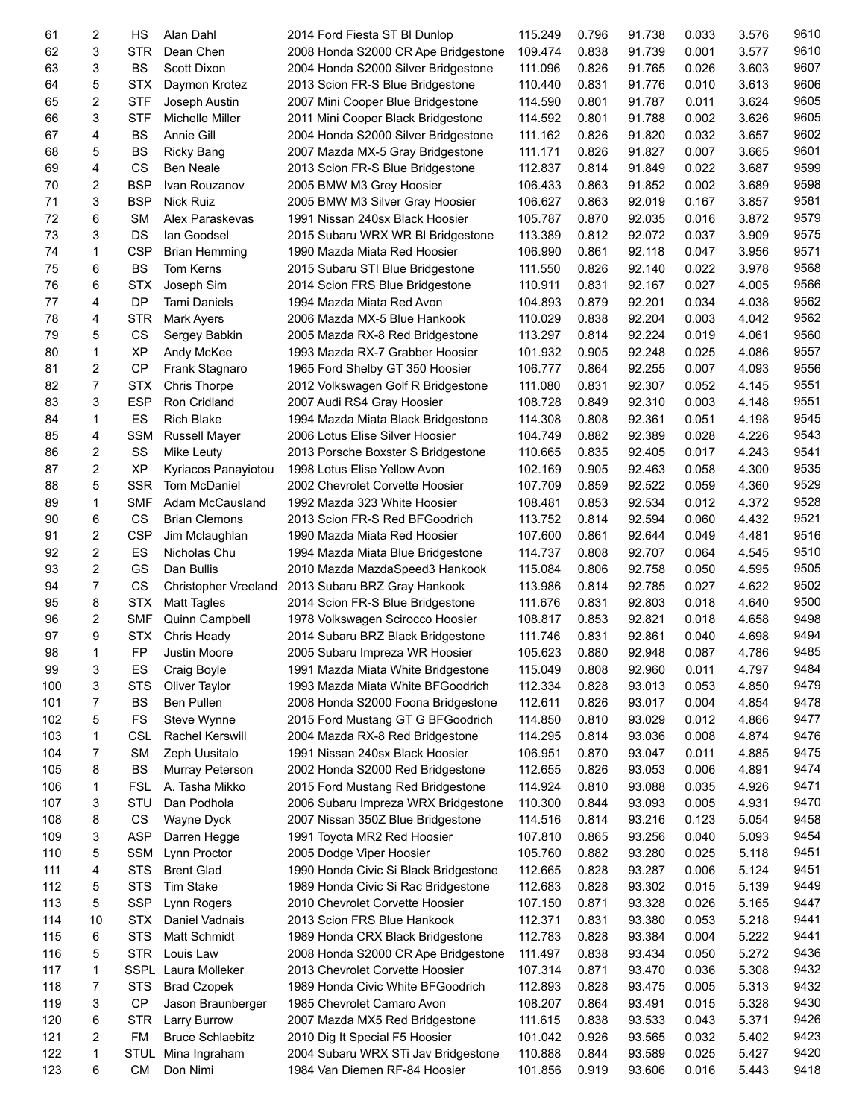| 61  | 2              | HS          | Alan Dahl                   | 2014 Ford Fiesta ST BI Dunlop         | 115.249 | 0.796 | 91.738 | 0.033 | 3.576 | 9610 |
|-----|----------------|-------------|-----------------------------|---------------------------------------|---------|-------|--------|-------|-------|------|
| 62  | 3              | STR         | Dean Chen                   | 2008 Honda S2000 CR Ape Bridgestone   | 109.474 | 0.838 | 91.739 | 0.001 | 3.577 | 9610 |
| 63  | 3              | <b>BS</b>   | Scott Dixon                 | 2004 Honda S2000 Silver Bridgestone   | 111.096 | 0.826 | 91.765 | 0.026 | 3.603 | 9607 |
| 64  | 5              | <b>STX</b>  | Daymon Krotez               | 2013 Scion FR-S Blue Bridgestone      | 110.440 | 0.831 | 91.776 | 0.010 | 3.613 | 9606 |
| 65  | 2              | <b>STF</b>  | Joseph Austin               | 2007 Mini Cooper Blue Bridgestone     | 114.590 | 0.801 | 91.787 | 0.011 | 3.624 | 9605 |
| 66  | 3              | <b>STF</b>  | Michelle Miller             | 2011 Mini Cooper Black Bridgestone    | 114.592 | 0.801 | 91.788 | 0.002 | 3.626 | 9605 |
| 67  | 4              | <b>BS</b>   | Annie Gill                  | 2004 Honda S2000 Silver Bridgestone   | 111.162 | 0.826 | 91.820 | 0.032 | 3.657 | 9602 |
| 68  | 5              | BS          | <b>Ricky Bang</b>           | 2007 Mazda MX-5 Gray Bridgestone      | 111.171 | 0.826 | 91.827 | 0.007 | 3.665 | 9601 |
| 69  | 4              | CS          | <b>Ben Neale</b>            | 2013 Scion FR-S Blue Bridgestone      | 112.837 | 0.814 | 91.849 | 0.022 | 3.687 | 9599 |
| 70  | 2              | <b>BSP</b>  | Ivan Rouzanov               | 2005 BMW M3 Grey Hoosier              | 106.433 | 0.863 | 91.852 | 0.002 | 3.689 | 9598 |
| 71  | 3              | <b>BSP</b>  | <b>Nick Ruiz</b>            | 2005 BMW M3 Silver Gray Hoosier       | 106.627 | 0.863 | 92.019 | 0.167 | 3.857 | 9581 |
| 72  | 6              | <b>SM</b>   | Alex Paraskevas             | 1991 Nissan 240sx Black Hoosier       | 105.787 | 0.870 | 92.035 | 0.016 | 3.872 | 9579 |
|     | 3              |             |                             |                                       |         | 0.812 |        |       |       | 9575 |
| 73  |                | DS          | lan Goodsel                 | 2015 Subaru WRX WR BI Bridgestone     | 113.389 |       | 92.072 | 0.037 | 3.909 |      |
| 74  | 1              | <b>CSP</b>  | <b>Brian Hemming</b>        | 1990 Mazda Miata Red Hoosier          | 106.990 | 0.861 | 92.118 | 0.047 | 3.956 | 9571 |
| 75  | 6              | <b>BS</b>   | Tom Kerns                   | 2015 Subaru STI Blue Bridgestone      | 111.550 | 0.826 | 92.140 | 0.022 | 3.978 | 9568 |
| 76  | 6              | <b>STX</b>  | Joseph Sim                  | 2014 Scion FRS Blue Bridgestone       | 110.911 | 0.831 | 92.167 | 0.027 | 4.005 | 9566 |
| 77  | 4              | DP          | Tami Daniels                | 1994 Mazda Miata Red Avon             | 104.893 | 0.879 | 92.201 | 0.034 | 4.038 | 9562 |
| 78  | 4              | <b>STR</b>  | <b>Mark Ayers</b>           | 2006 Mazda MX-5 Blue Hankook          | 110.029 | 0.838 | 92.204 | 0.003 | 4.042 | 9562 |
| 79  | 5              | CS          | Sergey Babkin               | 2005 Mazda RX-8 Red Bridgestone       | 113.297 | 0.814 | 92.224 | 0.019 | 4.061 | 9560 |
| 80  | 1              | <b>XP</b>   | Andy McKee                  | 1993 Mazda RX-7 Grabber Hoosier       | 101.932 | 0.905 | 92.248 | 0.025 | 4.086 | 9557 |
| 81  | $\overline{c}$ | <b>CP</b>   | Frank Stagnaro              | 1965 Ford Shelby GT 350 Hoosier       | 106.777 | 0.864 | 92.255 | 0.007 | 4.093 | 9556 |
| 82  | $\overline{7}$ | <b>STX</b>  | <b>Chris Thorpe</b>         | 2012 Volkswagen Golf R Bridgestone    | 111.080 | 0.831 | 92.307 | 0.052 | 4.145 | 9551 |
| 83  | 3              | <b>ESP</b>  | Ron Cridland                | 2007 Audi RS4 Gray Hoosier            | 108.728 | 0.849 | 92.310 | 0.003 | 4.148 | 9551 |
| 84  | 1              | ES          | <b>Rich Blake</b>           | 1994 Mazda Miata Black Bridgestone    | 114.308 | 0.808 | 92.361 | 0.051 | 4.198 | 9545 |
| 85  | 4              | <b>SSM</b>  | <b>Russell Mayer</b>        | 2006 Lotus Elise Silver Hoosier       | 104.749 | 0.882 | 92.389 | 0.028 | 4.226 | 9543 |
| 86  | 2              | SS          | Mike Leuty                  | 2013 Porsche Boxster S Bridgestone    | 110.665 | 0.835 | 92.405 | 0.017 | 4.243 | 9541 |
| 87  | $\overline{c}$ | <b>XP</b>   | Kyriacos Panayiotou         | 1998 Lotus Elise Yellow Avon          | 102.169 | 0.905 | 92.463 | 0.058 | 4.300 | 9535 |
| 88  | 5              | <b>SSR</b>  | Tom McDaniel                | 2002 Chevrolet Corvette Hoosier       | 107.709 | 0.859 | 92.522 | 0.059 | 4.360 | 9529 |
| 89  | 1              | <b>SMF</b>  | Adam McCausland             | 1992 Mazda 323 White Hoosier          | 108.481 | 0.853 | 92.534 | 0.012 | 4.372 | 9528 |
| 90  | 6              | CS          | <b>Brian Clemons</b>        | 2013 Scion FR-S Red BFGoodrich        | 113.752 | 0.814 | 92.594 | 0.060 | 4.432 | 9521 |
| 91  | $\overline{c}$ | <b>CSP</b>  | Jim Mclaughlan              | 1990 Mazda Miata Red Hoosier          | 107.600 | 0.861 | 92.644 | 0.049 | 4.481 | 9516 |
| 92  | $\overline{c}$ | ES          | Nicholas Chu                | 1994 Mazda Miata Blue Bridgestone     | 114.737 | 0.808 | 92.707 | 0.064 | 4.545 | 9510 |
| 93  | $\overline{c}$ | GS          | Dan Bullis                  | 2010 Mazda MazdaSpeed3 Hankook        | 115.084 | 0.806 | 92.758 | 0.050 | 4.595 | 9505 |
|     | $\overline{7}$ | CS          |                             |                                       |         |       | 92.785 | 0.027 | 4.622 | 9502 |
| 94  |                |             | <b>Christopher Vreeland</b> | 2013 Subaru BRZ Gray Hankook          | 113.986 | 0.814 | 92.803 |       |       | 9500 |
| 95  | 8              | <b>STX</b>  | <b>Matt Tagles</b>          | 2014 Scion FR-S Blue Bridgestone      | 111.676 | 0.831 |        | 0.018 | 4.640 |      |
| 96  | 2              | <b>SMF</b>  | Quinn Campbell              | 1978 Volkswagen Scirocco Hoosier      | 108.817 | 0.853 | 92.821 | 0.018 | 4.658 | 9498 |
| 97  | 9              | <b>STX</b>  | Chris Heady                 | 2014 Subaru BRZ Black Bridgestone     | 111.746 | 0.831 | 92.861 | 0.040 | 4.698 | 9494 |
| 98  | 1              | FP          | Justin Moore                | 2005 Subaru Impreza WR Hoosier        | 105.623 | 0.880 | 92.948 | 0.087 | 4.786 | 9485 |
| 99  | 3              | ES          | Craig Boyle                 | 1991 Mazda Miata White Bridgestone    | 115.049 | 0.808 | 92.960 | 0.011 | 4.797 | 9484 |
| 100 | 3              | <b>STS</b>  | Oliver Taylor               | 1993 Mazda Miata White BFGoodrich     | 112.334 | 0.828 | 93.013 | 0.053 | 4.850 | 9479 |
| 101 | 7              | <b>BS</b>   | Ben Pullen                  | 2008 Honda S2000 Foona Bridgestone    | 112.611 | 0.826 | 93.017 | 0.004 | 4.854 | 9478 |
| 102 | 5              | <b>FS</b>   | Steve Wynne                 | 2015 Ford Mustang GT G BFGoodrich     | 114.850 | 0.810 | 93.029 | 0.012 | 4.866 | 9477 |
| 103 | 1              | <b>CSL</b>  | <b>Rachel Kerswill</b>      | 2004 Mazda RX-8 Red Bridgestone       | 114.295 | 0.814 | 93.036 | 0.008 | 4.874 | 9476 |
| 104 | 7              | <b>SM</b>   | Zeph Uusitalo               | 1991 Nissan 240sx Black Hoosier       | 106.951 | 0.870 | 93.047 | 0.011 | 4.885 | 9475 |
| 105 | 8              | BS          | Murray Peterson             | 2002 Honda S2000 Red Bridgestone      | 112.655 | 0.826 | 93.053 | 0.006 | 4.891 | 9474 |
| 106 | 1              | <b>FSL</b>  | A. Tasha Mikko              | 2015 Ford Mustang Red Bridgestone     | 114.924 | 0.810 | 93.088 | 0.035 | 4.926 | 9471 |
| 107 | 3              | STU         | Dan Podhola                 | 2006 Subaru Impreza WRX Bridgestone   | 110.300 | 0.844 | 93.093 | 0.005 | 4.931 | 9470 |
| 108 | 8              | CS          | Wayne Dyck                  | 2007 Nissan 350Z Blue Bridgestone     | 114.516 | 0.814 | 93.216 | 0.123 | 5.054 | 9458 |
| 109 | 3              | ASP         | Darren Hegge                | 1991 Toyota MR2 Red Hoosier           | 107.810 | 0.865 | 93.256 | 0.040 | 5.093 | 9454 |
| 110 | 5              | <b>SSM</b>  | Lynn Proctor                | 2005 Dodge Viper Hoosier              | 105.760 | 0.882 | 93.280 | 0.025 | 5.118 | 9451 |
| 111 | 4              | <b>STS</b>  | <b>Brent Glad</b>           | 1990 Honda Civic Si Black Bridgestone | 112.665 | 0.828 | 93.287 | 0.006 | 5.124 | 9451 |
| 112 | 5              | <b>STS</b>  | Tim Stake                   | 1989 Honda Civic Si Rac Bridgestone   | 112.683 | 0.828 | 93.302 | 0.015 | 5.139 | 9449 |
| 113 | 5              | <b>SSP</b>  | Lynn Rogers                 | 2010 Chevrolet Corvette Hoosier       | 107.150 | 0.871 | 93.328 | 0.026 | 5.165 | 9447 |
| 114 | 10             | STX.        | Daniel Vadnais              | 2013 Scion FRS Blue Hankook           | 112.371 | 0.831 | 93.380 | 0.053 | 5.218 | 9441 |
| 115 | 6              | <b>STS</b>  | Matt Schmidt                | 1989 Honda CRX Black Bridgestone      | 112.783 | 0.828 | 93.384 | 0.004 | 5.222 | 9441 |
|     |                |             |                             |                                       |         |       |        |       |       | 9436 |
| 116 | 5              | <b>STR</b>  | Louis Law                   | 2008 Honda S2000 CR Ape Bridgestone   | 111.497 | 0.838 | 93.434 | 0.050 | 5.272 |      |
| 117 | 1              | <b>SSPL</b> | Laura Molleker              | 2013 Chevrolet Corvette Hoosier       | 107.314 | 0.871 | 93.470 | 0.036 | 5.308 | 9432 |
| 118 | 7              | <b>STS</b>  | <b>Brad Czopek</b>          | 1989 Honda Civic White BFGoodrich     | 112.893 | 0.828 | 93.475 | 0.005 | 5.313 | 9432 |
| 119 | 3              | CP          | Jason Braunberger           | 1985 Chevrolet Camaro Avon            | 108.207 | 0.864 | 93.491 | 0.015 | 5.328 | 9430 |
| 120 | 6              | <b>STR</b>  | Larry Burrow                | 2007 Mazda MX5 Red Bridgestone        | 111.615 | 0.838 | 93.533 | 0.043 | 5.371 | 9426 |
| 121 | 2              | <b>FM</b>   | <b>Bruce Schlaebitz</b>     | 2010 Dig It Special F5 Hoosier        | 101.042 | 0.926 | 93.565 | 0.032 | 5.402 | 9423 |
| 122 | 1              | <b>STUL</b> | Mina Ingraham               | 2004 Subaru WRX STi Jav Bridgestone   | 110.888 | 0.844 | 93.589 | 0.025 | 5.427 | 9420 |
| 123 | 6              | <b>CM</b>   | Don Nimi                    | 1984 Van Diemen RF-84 Hoosier         | 101.856 | 0.919 | 93.606 | 0.016 | 5.443 | 9418 |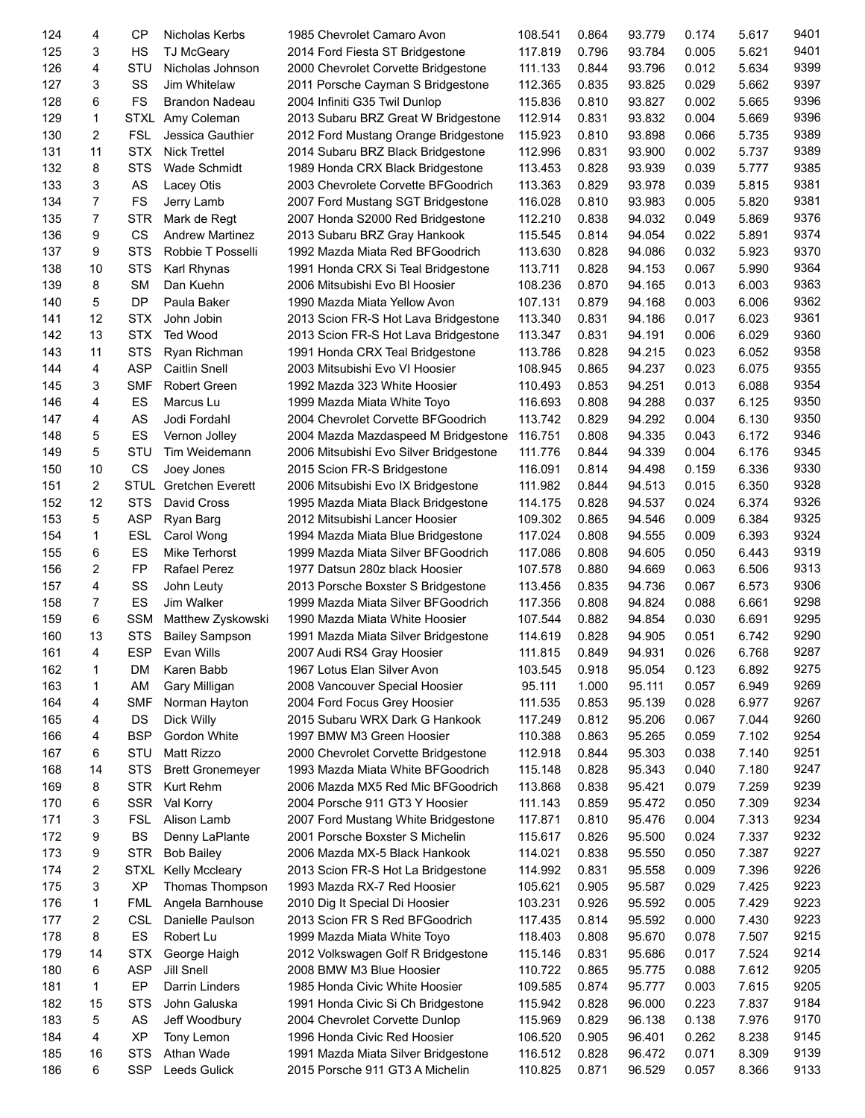| 124 | 4              | CP          | Nicholas Kerbs                 | 1985 Chevrolet Camaro Avon             | 108.541 | 0.864 | 93.779 | 0.174 | 5.617 | 9401 |
|-----|----------------|-------------|--------------------------------|----------------------------------------|---------|-------|--------|-------|-------|------|
| 125 | 3              | <b>HS</b>   | <b>TJ McGeary</b>              | 2014 Ford Fiesta ST Bridgestone        | 117.819 | 0.796 | 93.784 | 0.005 | 5.621 | 9401 |
| 126 | 4              | STU         | Nicholas Johnson               | 2000 Chevrolet Corvette Bridgestone    | 111.133 | 0.844 | 93.796 | 0.012 | 5.634 | 9399 |
| 127 | 3              | SS          | Jim Whitelaw                   | 2011 Porsche Cayman S Bridgestone      | 112.365 | 0.835 | 93.825 | 0.029 | 5.662 | 9397 |
| 128 | 6              | <b>FS</b>   | Brandon Nadeau                 | 2004 Infiniti G35 Twil Dunlop          | 115.836 | 0.810 | 93.827 | 0.002 | 5.665 | 9396 |
| 129 | $\mathbf{1}$   | <b>STXL</b> | Amy Coleman                    | 2013 Subaru BRZ Great W Bridgestone    | 112.914 | 0.831 | 93.832 | 0.004 | 5.669 | 9396 |
| 130 | 2              | <b>FSL</b>  | Jessica Gauthier               | 2012 Ford Mustang Orange Bridgestone   | 115.923 | 0.810 | 93.898 | 0.066 | 5.735 | 9389 |
| 131 | 11             | <b>STX</b>  | <b>Nick Trettel</b>            | 2014 Subaru BRZ Black Bridgestone      | 112.996 | 0.831 | 93.900 | 0.002 | 5.737 | 9389 |
| 132 | 8              | <b>STS</b>  | Wade Schmidt                   | 1989 Honda CRX Black Bridgestone       | 113.453 | 0.828 | 93.939 | 0.039 | 5.777 | 9385 |
| 133 | 3              | AS          | Lacey Otis                     | 2003 Chevrolete Corvette BFGoodrich    | 113.363 | 0.829 | 93.978 | 0.039 | 5.815 | 9381 |
| 134 | $\overline{7}$ | <b>FS</b>   | Jerry Lamb                     | 2007 Ford Mustang SGT Bridgestone      | 116.028 | 0.810 | 93.983 | 0.005 | 5.820 | 9381 |
| 135 | $\overline{7}$ | <b>STR</b>  | Mark de Regt                   | 2007 Honda S2000 Red Bridgestone       | 112.210 | 0.838 | 94.032 | 0.049 | 5.869 | 9376 |
| 136 | 9              | <b>CS</b>   | <b>Andrew Martinez</b>         | 2013 Subaru BRZ Gray Hankook           | 115.545 | 0.814 | 94.054 | 0.022 | 5.891 | 9374 |
| 137 | 9              | <b>STS</b>  | Robbie T Posselli              | 1992 Mazda Miata Red BFGoodrich        | 113.630 | 0.828 | 94.086 | 0.032 | 5.923 | 9370 |
| 138 | 10             | <b>STS</b>  | Karl Rhynas                    | 1991 Honda CRX Si Teal Bridgestone     | 113.711 | 0.828 | 94.153 | 0.067 | 5.990 | 9364 |
| 139 | 8              | <b>SM</b>   | Dan Kuehn                      | 2006 Mitsubishi Evo BI Hoosier         | 108.236 | 0.870 | 94.165 | 0.013 | 6.003 | 9363 |
| 140 | 5              | <b>DP</b>   | Paula Baker                    | 1990 Mazda Miata Yellow Avon           | 107.131 | 0.879 | 94.168 | 0.003 | 6.006 | 9362 |
| 141 | 12             | <b>STX</b>  | John Jobin                     | 2013 Scion FR-S Hot Lava Bridgestone   | 113.340 | 0.831 | 94.186 | 0.017 | 6.023 | 9361 |
| 142 | 13             | STX         | <b>Ted Wood</b>                | 2013 Scion FR-S Hot Lava Bridgestone   | 113.347 | 0.831 | 94.191 | 0.006 | 6.029 | 9360 |
| 143 | 11             | <b>STS</b>  | Ryan Richman                   | 1991 Honda CRX Teal Bridgestone        | 113.786 | 0.828 | 94.215 | 0.023 | 6.052 | 9358 |
| 144 | 4              | <b>ASP</b>  | <b>Caitlin Snell</b>           | 2003 Mitsubishi Evo VI Hoosier         | 108.945 | 0.865 | 94.237 | 0.023 | 6.075 | 9355 |
| 145 | 3              | <b>SMF</b>  | <b>Robert Green</b>            | 1992 Mazda 323 White Hoosier           | 110.493 | 0.853 | 94.251 | 0.013 | 6.088 | 9354 |
| 146 | 4              | ES          | Marcus Lu                      | 1999 Mazda Miata White Toyo            | 116.693 | 0.808 | 94.288 | 0.037 | 6.125 | 9350 |
| 147 | 4              | AS          | Jodi Fordahl                   | 2004 Chevrolet Corvette BFGoodrich     | 113.742 | 0.829 | 94.292 | 0.004 | 6.130 | 9350 |
| 148 | 5              | ES          | Vernon Jolley                  | 2004 Mazda Mazdaspeed M Bridgestone    | 116.751 | 0.808 | 94.335 | 0.043 | 6.172 | 9346 |
| 149 | 5              | STU         | Tim Weidemann                  | 2006 Mitsubishi Evo Silver Bridgestone | 111.776 | 0.844 | 94.339 | 0.004 | 6.176 | 9345 |
| 150 | 10             | CS          | Joey Jones                     | 2015 Scion FR-S Bridgestone            | 116.091 | 0.814 | 94.498 | 0.159 | 6.336 | 9330 |
| 151 | 2              | <b>STUL</b> | <b>Gretchen Everett</b>        | 2006 Mitsubishi Evo IX Bridgestone     | 111.982 | 0.844 | 94.513 | 0.015 | 6.350 | 9328 |
| 152 | 12             | <b>STS</b>  | David Cross                    | 1995 Mazda Miata Black Bridgestone     | 114.175 | 0.828 | 94.537 | 0.024 | 6.374 | 9326 |
| 153 | 5              | <b>ASP</b>  | Ryan Barg                      | 2012 Mitsubishi Lancer Hoosier         | 109.302 | 0.865 | 94.546 | 0.009 | 6.384 | 9325 |
| 154 | $\mathbf{1}$   | <b>ESL</b>  | Carol Wong                     | 1994 Mazda Miata Blue Bridgestone      | 117.024 | 0.808 | 94.555 | 0.009 | 6.393 | 9324 |
| 155 | 6              | ES          | Mike Terhorst                  | 1999 Mazda Miata Silver BFGoodrich     | 117.086 | 0.808 | 94.605 | 0.050 | 6.443 | 9319 |
| 156 | 2              | <b>FP</b>   | Rafael Perez                   | 1977 Datsun 280z black Hoosier         | 107.578 | 0.880 | 94.669 | 0.063 | 6.506 | 9313 |
| 157 | 4              | SS          | John Leuty                     | 2013 Porsche Boxster S Bridgestone     | 113.456 | 0.835 | 94.736 | 0.067 | 6.573 | 9306 |
| 158 | 7              | ES          | Jim Walker                     | 1999 Mazda Miata Silver BFGoodrich     | 117.356 | 0.808 | 94.824 | 0.088 | 6.661 | 9298 |
| 159 | 6              | <b>SSM</b>  | Matthew Zyskowski              | 1990 Mazda Miata White Hoosier         | 107.544 | 0.882 | 94.854 | 0.030 | 6.691 | 9295 |
| 160 | 13             | <b>STS</b>  | <b>Bailey Sampson</b>          | 1991 Mazda Miata Silver Bridgestone    | 114.619 | 0.828 | 94.905 | 0.051 | 6.742 | 9290 |
| 161 | 4              | <b>ESP</b>  | Evan Wills                     | 2007 Audi RS4 Gray Hoosier             | 111.815 | 0.849 | 94.931 | 0.026 | 6.768 | 9287 |
| 162 | 1              | DM          | Karen Babb                     | 1967 Lotus Elan Silver Avon            | 103.545 | 0.918 | 95.054 | 0.123 | 6.892 | 9275 |
| 163 | 1              | AM          |                                | 2008 Vancouver Special Hoosier         | 95.111  | 1.000 | 95.111 | 0.057 | 6.949 | 9269 |
| 164 | 4              | <b>SMF</b>  | Gary Milligan<br>Norman Hayton | 2004 Ford Focus Grey Hoosier           | 111.535 | 0.853 | 95.139 | 0.028 | 6.977 | 9267 |
| 165 | 4              | <b>DS</b>   |                                | 2015 Subaru WRX Dark G Hankook         | 117.249 | 0.812 | 95.206 | 0.067 | 7.044 | 9260 |
| 166 | 4              | <b>BSP</b>  | Dick Willy<br>Gordon White     | 1997 BMW M3 Green Hoosier              | 110.388 | 0.863 | 95.265 | 0.059 | 7.102 | 9254 |
|     |                | STU         |                                |                                        |         |       |        |       |       | 9251 |
| 167 | 6              |             | Matt Rizzo                     | 2000 Chevrolet Corvette Bridgestone    | 112.918 | 0.844 | 95.303 | 0.038 | 7.140 | 9247 |
| 168 | 14             | <b>STS</b>  | <b>Brett Gronemeyer</b>        | 1993 Mazda Miata White BFGoodrich      | 115.148 | 0.828 | 95.343 | 0.040 | 7.180 |      |
| 169 | 8              | <b>STR</b>  | Kurt Rehm                      | 2006 Mazda MX5 Red Mic BFGoodrich      | 113.868 | 0.838 | 95.421 | 0.079 | 7.259 | 9239 |
| 170 | 6              | <b>SSR</b>  | Val Korry                      | 2004 Porsche 911 GT3 Y Hoosier         | 111.143 | 0.859 | 95.472 | 0.050 | 7.309 | 9234 |
| 171 | 3              | <b>FSL</b>  | Alison Lamb                    | 2007 Ford Mustang White Bridgestone    | 117.871 | 0.810 | 95.476 | 0.004 | 7.313 | 9234 |
| 172 | 9              | <b>BS</b>   | Denny LaPlante                 | 2001 Porsche Boxster S Michelin        | 115.617 | 0.826 | 95.500 | 0.024 | 7.337 | 9232 |
| 173 | 9              | <b>STR</b>  | <b>Bob Bailey</b>              | 2006 Mazda MX-5 Black Hankook          | 114.021 | 0.838 | 95.550 | 0.050 | 7.387 | 9227 |
| 174 | 2              | <b>STXL</b> | Kelly Mccleary                 | 2013 Scion FR-S Hot La Bridgestone     | 114.992 | 0.831 | 95.558 | 0.009 | 7.396 | 9226 |
| 175 | 3              | <b>XP</b>   | Thomas Thompson                | 1993 Mazda RX-7 Red Hoosier            | 105.621 | 0.905 | 95.587 | 0.029 | 7.425 | 9223 |
| 176 | 1              | <b>FML</b>  | Angela Barnhouse               | 2010 Dig It Special Di Hoosier         | 103.231 | 0.926 | 95.592 | 0.005 | 7.429 | 9223 |
| 177 | 2              | <b>CSL</b>  | Danielle Paulson               | 2013 Scion FR S Red BFGoodrich         | 117.435 | 0.814 | 95.592 | 0.000 | 7.430 | 9223 |
| 178 | 8              | ES          | Robert Lu                      | 1999 Mazda Miata White Toyo            | 118.403 | 0.808 | 95.670 | 0.078 | 7.507 | 9215 |
| 179 | 14             | <b>STX</b>  | George Haigh                   | 2012 Volkswagen Golf R Bridgestone     | 115.146 | 0.831 | 95.686 | 0.017 | 7.524 | 9214 |
| 180 | 6              | <b>ASP</b>  | Jill Snell                     | 2008 BMW M3 Blue Hoosier               | 110.722 | 0.865 | 95.775 | 0.088 | 7.612 | 9205 |
| 181 | 1              | EP          | Darrin Linders                 | 1985 Honda Civic White Hoosier         | 109.585 | 0.874 | 95.777 | 0.003 | 7.615 | 9205 |
| 182 | 15             | <b>STS</b>  | John Galuska                   | 1991 Honda Civic Si Ch Bridgestone     | 115.942 | 0.828 | 96.000 | 0.223 | 7.837 | 9184 |
| 183 | 5              | AS          | Jeff Woodbury                  | 2004 Chevrolet Corvette Dunlop         | 115.969 | 0.829 | 96.138 | 0.138 | 7.976 | 9170 |
| 184 | 4              | <b>XP</b>   | Tony Lemon                     | 1996 Honda Civic Red Hoosier           | 106.520 | 0.905 | 96.401 | 0.262 | 8.238 | 9145 |
| 185 | 16             | <b>STS</b>  | Athan Wade                     | 1991 Mazda Miata Silver Bridgestone    | 116.512 | 0.828 | 96.472 | 0.071 | 8.309 | 9139 |
| 186 | 6              | <b>SSP</b>  | Leeds Gulick                   | 2015 Porsche 911 GT3 A Michelin        | 110.825 | 0.871 | 96.529 | 0.057 | 8.366 | 9133 |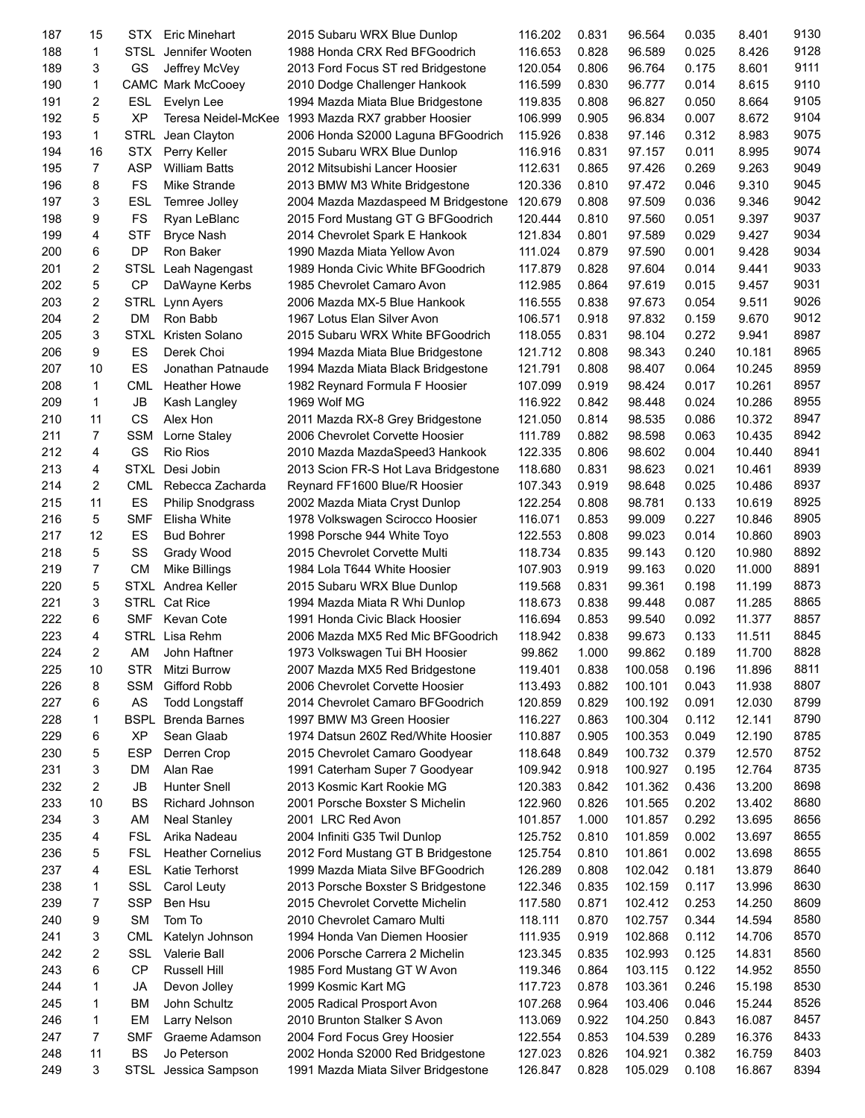| 187 | 15             | <b>STX</b>  | Eric Minehart            | 2015 Subaru WRX Blue Dunlop          | 116.202 | 0.831 | 96.564  | 0.035 | 8.401  | 9130 |
|-----|----------------|-------------|--------------------------|--------------------------------------|---------|-------|---------|-------|--------|------|
| 188 | 1              |             | STSL Jennifer Wooten     | 1988 Honda CRX Red BFGoodrich        | 116.653 | 0.828 | 96.589  | 0.025 | 8.426  | 9128 |
| 189 | 3              | GS          | Jeffrey McVey            | 2013 Ford Focus ST red Bridgestone   | 120.054 | 0.806 | 96.764  | 0.175 | 8.601  | 9111 |
| 190 | 1              |             | CAMC Mark McCooey        | 2010 Dodge Challenger Hankook        | 116.599 | 0.830 | 96.777  | 0.014 | 8.615  | 9110 |
| 191 | 2              | <b>ESL</b>  | Evelyn Lee               | 1994 Mazda Miata Blue Bridgestone    | 119.835 | 0.808 | 96.827  | 0.050 | 8.664  | 9105 |
| 192 | 5              | <b>XP</b>   | Teresa Neidel-McKee      | 1993 Mazda RX7 grabber Hoosier       | 106.999 | 0.905 | 96.834  | 0.007 | 8.672  | 9104 |
| 193 | 1              | <b>STRL</b> | Jean Clayton             | 2006 Honda S2000 Laguna BFGoodrich   | 115.926 | 0.838 | 97.146  | 0.312 | 8.983  | 9075 |
| 194 | 16             | <b>STX</b>  | Perry Keller             | 2015 Subaru WRX Blue Dunlop          | 116.916 | 0.831 | 97.157  | 0.011 | 8.995  | 9074 |
| 195 | $\overline{7}$ | <b>ASP</b>  | <b>William Batts</b>     |                                      | 112.631 | 0.865 | 97.426  | 0.269 | 9.263  | 9049 |
|     |                |             |                          | 2012 Mitsubishi Lancer Hoosier       |         |       | 97.472  |       |        | 9045 |
| 196 | 8              | <b>FS</b>   | Mike Strande             | 2013 BMW M3 White Bridgestone        | 120.336 | 0.810 |         | 0.046 | 9.310  |      |
| 197 | 3              | <b>ESL</b>  | Temree Jolley            | 2004 Mazda Mazdaspeed M Bridgestone  | 120.679 | 0.808 | 97.509  | 0.036 | 9.346  | 9042 |
| 198 | 9              | <b>FS</b>   | Ryan LeBlanc             | 2015 Ford Mustang GT G BFGoodrich    | 120.444 | 0.810 | 97.560  | 0.051 | 9.397  | 9037 |
| 199 | 4              | <b>STF</b>  | <b>Bryce Nash</b>        | 2014 Chevrolet Spark E Hankook       | 121.834 | 0.801 | 97.589  | 0.029 | 9.427  | 9034 |
| 200 | 6              | DP          | Ron Baker                | 1990 Mazda Miata Yellow Avon         | 111.024 | 0.879 | 97.590  | 0.001 | 9.428  | 9034 |
| 201 | 2              | <b>STSL</b> | Leah Nagengast           | 1989 Honda Civic White BFGoodrich    | 117.879 | 0.828 | 97.604  | 0.014 | 9.441  | 9033 |
| 202 | 5              | <b>CP</b>   | DaWayne Kerbs            | 1985 Chevrolet Camaro Avon           | 112.985 | 0.864 | 97.619  | 0.015 | 9.457  | 9031 |
| 203 | 2              | <b>STRL</b> | Lynn Ayers               | 2006 Mazda MX-5 Blue Hankook         | 116.555 | 0.838 | 97.673  | 0.054 | 9.511  | 9026 |
| 204 | 2              | <b>DM</b>   | Ron Babb                 | 1967 Lotus Elan Silver Avon          | 106.571 | 0.918 | 97.832  | 0.159 | 9.670  | 9012 |
| 205 | 3              | <b>STXL</b> | Kristen Solano           | 2015 Subaru WRX White BFGoodrich     | 118.055 | 0.831 | 98.104  | 0.272 | 9.941  | 8987 |
| 206 | 9              | ES          | Derek Choi               | 1994 Mazda Miata Blue Bridgestone    | 121.712 | 0.808 | 98.343  | 0.240 | 10.181 | 8965 |
| 207 | 10             | ES          | Jonathan Patnaude        | 1994 Mazda Miata Black Bridgestone   | 121.791 | 0.808 | 98.407  | 0.064 | 10.245 | 8959 |
| 208 | 1              | <b>CML</b>  | <b>Heather Howe</b>      | 1982 Reynard Formula F Hoosier       | 107.099 | 0.919 | 98.424  | 0.017 | 10.261 | 8957 |
| 209 | 1              | <b>JB</b>   | Kash Langley             | 1969 Wolf MG                         | 116.922 | 0.842 | 98.448  | 0.024 | 10.286 | 8955 |
| 210 | 11             | CS          | Alex Hon                 |                                      | 121.050 | 0.814 | 98.535  | 0.086 | 10.372 | 8947 |
| 211 | 7              |             |                          | 2011 Mazda RX-8 Grey Bridgestone     | 111.789 |       | 98.598  |       | 10.435 | 8942 |
|     |                | <b>SSM</b>  | Lorne Staley             | 2006 Chevrolet Corvette Hoosier      |         | 0.882 |         | 0.063 |        |      |
| 212 | 4              | GS          | <b>Rio Rios</b>          | 2010 Mazda MazdaSpeed3 Hankook       | 122.335 | 0.806 | 98.602  | 0.004 | 10.440 | 8941 |
| 213 | 4              | <b>STXL</b> | Desi Jobin               | 2013 Scion FR-S Hot Lava Bridgestone | 118.680 | 0.831 | 98.623  | 0.021 | 10.461 | 8939 |
| 214 | 2              | <b>CML</b>  | Rebecca Zacharda         | Reynard FF1600 Blue/R Hoosier        | 107.343 | 0.919 | 98.648  | 0.025 | 10.486 | 8937 |
| 215 | 11             | ES          | <b>Philip Snodgrass</b>  | 2002 Mazda Miata Cryst Dunlop        | 122.254 | 0.808 | 98.781  | 0.133 | 10.619 | 8925 |
| 216 | 5              | <b>SMF</b>  | Elisha White             | 1978 Volkswagen Scirocco Hoosier     | 116.071 | 0.853 | 99.009  | 0.227 | 10.846 | 8905 |
| 217 | 12             | ES          | <b>Bud Bohrer</b>        | 1998 Porsche 944 White Toyo          | 122.553 | 0.808 | 99.023  | 0.014 | 10.860 | 8903 |
| 218 | 5              | SS          | Grady Wood               | 2015 Chevrolet Corvette Multi        | 118.734 | 0.835 | 99.143  | 0.120 | 10.980 | 8892 |
| 219 | 7              | <b>CM</b>   | Mike Billings            | 1984 Lola T644 White Hoosier         | 107.903 | 0.919 | 99.163  | 0.020 | 11.000 | 8891 |
| 220 | 5              | <b>STXL</b> | Andrea Keller            | 2015 Subaru WRX Blue Dunlop          | 119.568 | 0.831 | 99.361  | 0.198 | 11.199 | 8873 |
| 221 | 3              |             | STRL Cat Rice            | 1994 Mazda Miata R Whi Dunlop        | 118.673 | 0.838 | 99.448  | 0.087 | 11.285 | 8865 |
| 222 | 6              | <b>SMF</b>  | Kevan Cote               | 1991 Honda Civic Black Hoosier       | 116.694 | 0.853 | 99.540  | 0.092 | 11.377 | 8857 |
| 223 | 4              | <b>STRL</b> | Lisa Rehm                | 2006 Mazda MX5 Red Mic BFGoodrich    | 118.942 | 0.838 | 99.673  | 0.133 | 11.511 | 8845 |
| 224 | 2              | AM          | John Haftner             | 1973 Volkswagen Tui BH Hoosier       | 99.862  | 1.000 | 99.862  | 0.189 | 11.700 | 8828 |
| 225 | 10             | STR         | Mitzi Burrow             | 2007 Mazda MX5 Red Bridgestone       | 119.401 | 0.838 | 100.058 | 0.196 | 11.896 | 8811 |
| 226 | 8              | <b>SSM</b>  | Gifford Robb             | 2006 Chevrolet Corvette Hoosier      | 113.493 | 0.882 | 100.101 | 0.043 | 11.938 | 8807 |
| 227 | 6              | AS          |                          | 2014 Chevrolet Camaro BFGoodrich     | 120.859 | 0.829 | 100.192 | 0.091 | 12.030 | 8799 |
|     |                |             | <b>Todd Longstaff</b>    |                                      |         |       |         |       |        |      |
| 228 | 1              | <b>BSPL</b> | <b>Brenda Barnes</b>     | 1997 BMW M3 Green Hoosier            | 116.227 | 0.863 | 100.304 | 0.112 | 12.141 | 8790 |
| 229 | 6              | <b>XP</b>   | Sean Glaab               | 1974 Datsun 260Z Red/White Hoosier   | 110.887 | 0.905 | 100.353 | 0.049 | 12.190 | 8785 |
| 230 | 5              | <b>ESP</b>  | Derren Crop              | 2015 Chevrolet Camaro Goodyear       | 118.648 | 0.849 | 100.732 | 0.379 | 12.570 | 8752 |
| 231 | 3              | DM          | Alan Rae                 | 1991 Caterham Super 7 Goodyear       | 109.942 | 0.918 | 100.927 | 0.195 | 12.764 | 8735 |
| 232 | 2              | JB          | <b>Hunter Snell</b>      | 2013 Kosmic Kart Rookie MG           | 120.383 | 0.842 | 101.362 | 0.436 | 13.200 | 8698 |
| 233 | 10             | BS          | Richard Johnson          | 2001 Porsche Boxster S Michelin      | 122.960 | 0.826 | 101.565 | 0.202 | 13.402 | 8680 |
| 234 | 3              | AM          | <b>Neal Stanley</b>      | 2001 LRC Red Avon                    | 101.857 | 1.000 | 101.857 | 0.292 | 13.695 | 8656 |
| 235 | 4              | <b>FSL</b>  | Arika Nadeau             | 2004 Infiniti G35 Twil Dunlop        | 125.752 | 0.810 | 101.859 | 0.002 | 13.697 | 8655 |
| 236 | 5              | <b>FSL</b>  | <b>Heather Cornelius</b> | 2012 Ford Mustang GT B Bridgestone   | 125.754 | 0.810 | 101.861 | 0.002 | 13.698 | 8655 |
| 237 | 4              | <b>ESL</b>  | Katie Terhorst           | 1999 Mazda Miata Silve BFGoodrich    | 126.289 | 0.808 | 102.042 | 0.181 | 13.879 | 8640 |
| 238 | 1              | SSL         | Carol Leuty              | 2013 Porsche Boxster S Bridgestone   | 122.346 | 0.835 | 102.159 | 0.117 | 13.996 | 8630 |
| 239 | 7              | <b>SSP</b>  | Ben Hsu                  | 2015 Chevrolet Corvette Michelin     | 117.580 | 0.871 | 102.412 | 0.253 | 14.250 | 8609 |
| 240 | 9              | <b>SM</b>   | Tom To                   | 2010 Chevrolet Camaro Multi          | 118.111 | 0.870 | 102.757 | 0.344 | 14.594 | 8580 |
| 241 | 3              | <b>CML</b>  | Katelyn Johnson          | 1994 Honda Van Diemen Hoosier        | 111.935 | 0.919 | 102.868 | 0.112 | 14.706 | 8570 |
| 242 | 2              | SSL         | Valerie Ball             | 2006 Porsche Carrera 2 Michelin      | 123.345 | 0.835 | 102.993 | 0.125 | 14.831 | 8560 |
| 243 | 6              | CP          | Russell Hill             |                                      | 119.346 | 0.864 | 103.115 | 0.122 | 14.952 | 8550 |
|     |                |             |                          | 1985 Ford Mustang GT W Avon          |         |       |         |       |        | 8530 |
| 244 | 1              | JA          | Devon Jolley             | 1999 Kosmic Kart MG                  | 117.723 | 0.878 | 103.361 | 0.246 | 15.198 |      |
| 245 | 1              | BM          | John Schultz             | 2005 Radical Prosport Avon           | 107.268 | 0.964 | 103.406 | 0.046 | 15.244 | 8526 |
| 246 | 1              | EM          | Larry Nelson             | 2010 Brunton Stalker S Avon          | 113.069 | 0.922 | 104.250 | 0.843 | 16.087 | 8457 |
| 247 | 7              | <b>SMF</b>  | Graeme Adamson           | 2004 Ford Focus Grey Hoosier         | 122.554 | 0.853 | 104.539 | 0.289 | 16.376 | 8433 |
| 248 | 11             | <b>BS</b>   | Jo Peterson              | 2002 Honda S2000 Red Bridgestone     | 127.023 | 0.826 | 104.921 | 0.382 | 16.759 | 8403 |
| 249 | 3              | <b>STSL</b> | Jessica Sampson          | 1991 Mazda Miata Silver Bridgestone  | 126.847 | 0.828 | 105.029 | 0.108 | 16.867 | 8394 |